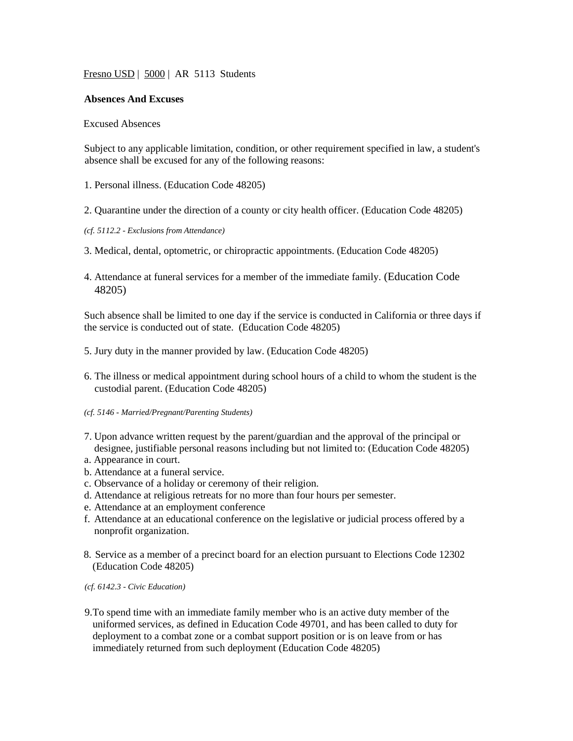Fresno USD | 5000 | AR 5113 Students

## **Absences And Excuses**

## Excused Absences

Subject to any applicable limitation, condition, or other requirement specified in law, a student's absence shall be excused for any of the following reasons:

- 1. Personal illness. (Education Code 48205)
- 2. Quarantine under the direction of a county or city health officer. (Education Code 48205)
- *(cf. 5112.2 - Exclusions from Attendance)*
- 3. Medical, dental, optometric, or chiropractic appointments. (Education Code 48205)
- 4. Attendance at funeral services for a member of the immediate family. (Education Code 48205)

Such absence shall be limited to one day if the service is conducted in California or three days if the service is conducted out of state. (Education Code 48205)

- 5. Jury duty in the manner provided by law. (Education Code 48205)
- 6. The illness or medical appointment during school hours of a child to whom the student is the custodial parent. (Education Code 48205)
- *(cf. 5146 - Married/Pregnant/Parenting Students)*
- 7. Upon advance written request by the parent/guardian and the approval of the principal or designee, justifiable personal reasons including but not limited to: (Education Code 48205)
- a. Appearance in court.
- b. Attendance at a funeral service.
- c. Observance of a holiday or ceremony of their religion.
- d. Attendance at religious retreats for no more than four hours per semester.
- e. Attendance at an employment conference
- f. Attendance at an educational conference on the legislative or judicial process offered by a nonprofit organization.
- 8. Service as a member of a precinct board for an election pursuant to Elections Code 12302 (Education Code 48205)

*(cf. 6142.3 - Civic Education)*

9.To spend time with an immediate family member who is an active duty member of the uniformed services, as defined in Education Code 49701, and has been called to duty for deployment to a combat zone or a combat support position or is on leave from or has immediately returned from such deployment (Education Code 48205)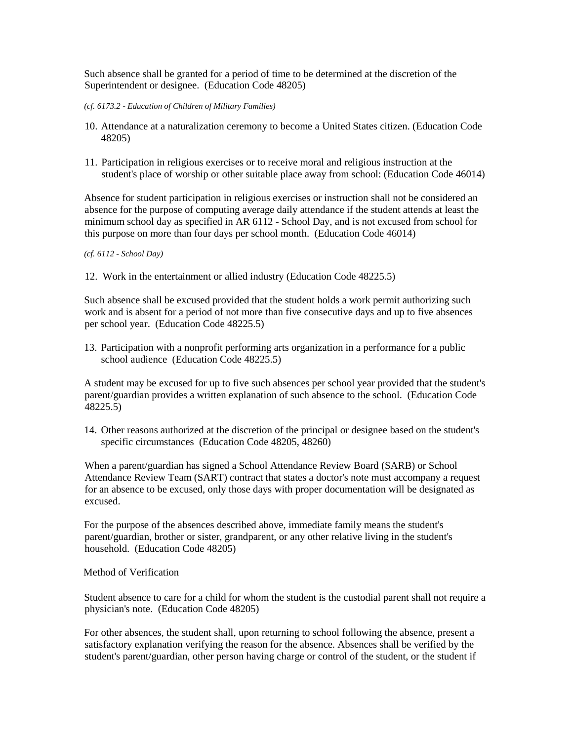Such absence shall be granted for a period of time to be determined at the discretion of the Superintendent or designee. (Education Code 48205)

- *(cf. 6173.2 - Education of Children of Military Families)*
- 10. Attendance at a naturalization ceremony to become a United States citizen. (Education Code 48205)
- 11. Participation in religious exercises or to receive moral and religious instruction at the student's place of worship or other suitable place away from school: (Education Code 46014)

Absence for student participation in religious exercises or instruction shall not be considered an absence for the purpose of computing average daily attendance if the student attends at least the minimum school day as specified in AR 6112 - School Day, and is not excused from school for this purpose on more than four days per school month. (Education Code 46014)

*(cf. 6112 - School Day)*

12. Work in the entertainment or allied industry (Education Code 48225.5)

Such absence shall be excused provided that the student holds a work permit authorizing such work and is absent for a period of not more than five consecutive days and up to five absences per school year. (Education Code 48225.5)

13. Participation with a nonprofit performing arts organization in a performance for a public school audience (Education Code 48225.5)

A student may be excused for up to five such absences per school year provided that the student's parent/guardian provides a written explanation of such absence to the school. (Education Code 48225.5)

14. Other reasons authorized at the discretion of the principal or designee based on the student's specific circumstances (Education Code 48205, 48260)

When a parent/guardian has signed a School Attendance Review Board (SARB) or School Attendance Review Team (SART) contract that states a doctor's note must accompany a request for an absence to be excused, only those days with proper documentation will be designated as excused.

For the purpose of the absences described above, immediate family means the student's parent/guardian, brother or sister, grandparent, or any other relative living in the student's household. (Education Code 48205)

Method of Verification

Student absence to care for a child for whom the student is the custodial parent shall not require a physician's note. (Education Code 48205)

For other absences, the student shall, upon returning to school following the absence, present a satisfactory explanation verifying the reason for the absence. Absences shall be verified by the student's parent/guardian, other person having charge or control of the student, or the student if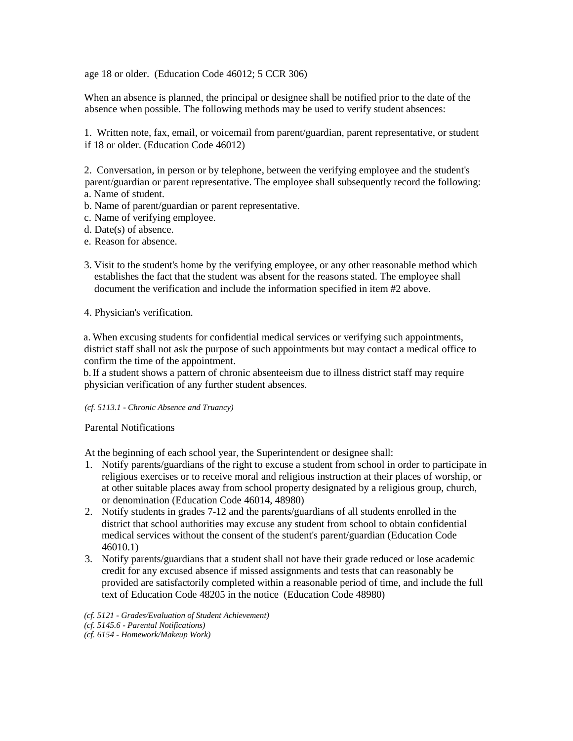age 18 or older. (Education Code 46012; 5 CCR 306)

When an absence is planned, the principal or designee shall be notified prior to the date of the absence when possible. The following methods may be used to verify student absences:

1. Written note, fax, email, or voicemail from parent/guardian, parent representative, or student if 18 or older. (Education Code 46012)

2. Conversation, in person or by telephone, between the verifying employee and the student's parent/guardian or parent representative. The employee shall subsequently record the following: a. Name of student.

- 
- b. Name of parent/guardian or parent representative.
- c. Name of verifying employee.
- d. Date(s) of absence.
- e. Reason for absence.
- 3. Visit to the student's home by the verifying employee, or any other reasonable method which establishes the fact that the student was absent for the reasons stated. The employee shall document the verification and include the information specified in item #2 above.

## 4. Physician's verification.

a. When excusing students for confidential medical services or verifying such appointments, district staff shall not ask the purpose of such appointments but may contact a medical office to confirm the time of the appointment.

b.If a student shows a pattern of chronic absenteeism due to illness district staff may require physician verification of any further student absences.

## *(cf. 5113.1 - Chronic Absence and Truancy)*

Parental Notifications

At the beginning of each school year, the Superintendent or designee shall:

- 1. Notify parents/guardians of the right to excuse a student from school in order to participate in religious exercises or to receive moral and religious instruction at their places of worship, or at other suitable places away from school property designated by a religious group, church, or denomination (Education Code 46014, 48980)
- 2. Notify students in grades 7-12 and the parents/guardians of all students enrolled in the district that school authorities may excuse any student from school to obtain confidential medical services without the consent of the student's parent/guardian (Education Code 46010.1)
- 3. Notify parents/guardians that a student shall not have their grade reduced or lose academic credit for any excused absence if missed assignments and tests that can reasonably be provided are satisfactorily completed within a reasonable period of time, and include the full text of Education Code 48205 in the notice (Education Code 48980)

*(cf. 5121 - Grades/Evaluation of Student Achievement) (cf. 5145.6 - Parental Notifications) (cf. 6154 - Homework/Makeup Work)*